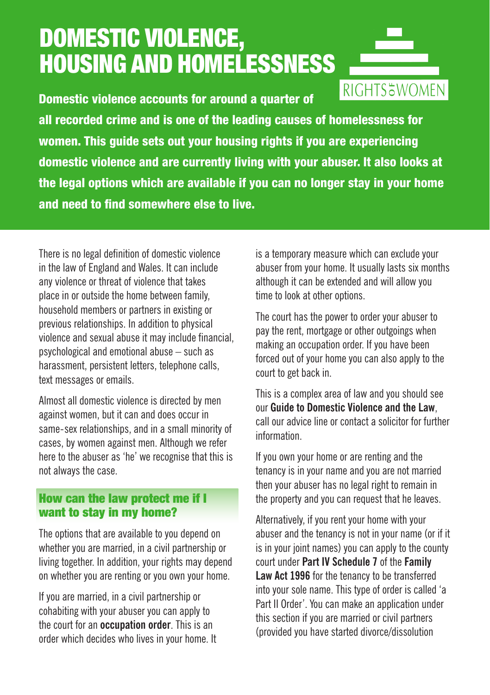# DOMESTIC VIOLENCE, HOUSING AND HOMELESSNESS

RIGHTS&WOMEN Domestic violence accounts for around a quarter of all recorded crime and is one of the leading causes of homelessness for women. This guide sets out your housing rights if you are experiencing domestic violence and are currently living with your abuser. It also looks at the legal options which are available if you can no longer stay in your home and need to find somewhere else to live.

There is no legal definition of domestic violence in the law of England and Wales. It can include any violence or threat of violence that takes place in or outside the home between family, household members or partners in existing or previous relationships. In addition to physical violence and sexual abuse it may include financial, psychological and emotional abuse – such as harassment, persistent letters, telephone calls, text messages or emails.

Almost all domestic violence is directed by men against women, but it can and does occur in same-sex relationships, and in a small minority of cases, by women against men. Although we refer here to the abuser as 'he' we recognise that this is not always the case.

### How can the law protect me if I want to stay in my home?

The options that are available to you depend on whether you are married, in a civil partnership or living together. In addition, your rights may depend on whether you are renting or you own your home.

If you are married, in a civil partnership or cohabiting with your abuser you can apply to the court for an **occupation order**. This is an order which decides who lives in your home. It is a temporary measure which can exclude your abuser from your home. It usually lasts six months although it can be extended and will allow you time to look at other options.

The court has the power to order your abuser to pay the rent, mortgage or other outgoings when making an occupation order. If you have been forced out of your home you can also apply to the court to get back in.

This is a complex area of law and you should see our **Guide to Domestic Violence and the Law**, call our advice line or contact a solicitor for further information.

If you own your home or are renting and the tenancy is in your name and you are not married then your abuser has no legal right to remain in the property and you can request that he leaves.

Alternatively, if you rent your home with your abuser and the tenancy is not in your name (or if it is in your joint names) you can apply to the county court under **Part IV Schedule 7** of the **Family Law Act 1996** for the tenancy to be transferred into your sole name. This type of order is called 'a Part II Order'. You can make an application under this section if you are married or civil partners (provided you have started divorce/dissolution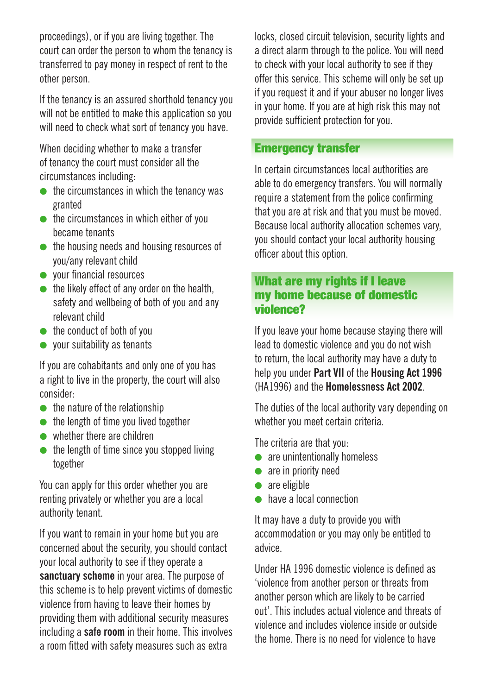proceedings), or if you are living together. The court can order the person to whom the tenancy is transferred to pay money in respect of rent to the other person.

If the tenancy is an assured shorthold tenancy you will not be entitled to make this application so you will need to check what sort of tenancy you have.

When deciding whether to make a transfer of tenancy the court must consider all the circumstances including:

- $\bullet$  the circumstances in which the tenancy was granted
- $\bullet$  the circumstances in which either of you became tenants
- $\bullet$  the housing needs and housing resources of you/any relevant child
- $\bullet$  your financial resources
- $\bullet$  the likely effect of any order on the health. safety and wellbeing of both of you and any relevant child
- $\bullet$  the conduct of both of you
- $\bullet$  your suitability as tenants

If you are cohabitants and only one of you has a right to live in the property, the court will also consider:

- $\bullet$  the nature of the relationship
- $\bullet$  the length of time you lived together
- $\bullet$  whether there are children
- $\bullet$  the length of time since you stopped living together

You can apply for this order whether you are renting privately or whether you are a local authority tenant.

If you want to remain in your home but you are concerned about the security, you should contact your local authority to see if they operate a **sanctuary scheme** in your area. The purpose of this scheme is to help prevent victims of domestic violence from having to leave their homes by providing them with additional security measures including a **safe room** in their home. This involves a room fitted with safety measures such as extra

locks, closed circuit television, security lights and a direct alarm through to the police. You will need to check with your local authority to see if they offer this service. This scheme will only be set up if you request it and if your abuser no longer lives in your home. If you are at high risk this may not provide sufficient protection for you.

#### Emergency transfer

In certain circumstances local authorities are able to do emergency transfers. You will normally require a statement from the police confirming that you are at risk and that you must be moved. Because local authority allocation schemes vary, you should contact your local authority housing officer about this option.

#### What are my rights if I leave my home because of domestic violence?

If you leave your home because staying there will lead to domestic violence and you do not wish to return, the local authority may have a duty to help you under **Part VII** of the **Housing Act 1996** (HA1996) and the **Homelessness Act 2002**.

The duties of the local authority vary depending on whether you meet certain criteria.

The criteria are that you:

- $\bullet$  are unintentionally homeless
- $\bullet$  are in priority need
- $\bullet$  are eligible
- $\bullet$  have a local connection

It may have a duty to provide you with accommodation or you may only be entitled to advice.

Under HA 1996 domestic violence is defined as 'violence from another person or threats from another person which are likely to be carried out'. This includes actual violence and threats of violence and includes violence inside or outside the home. There is no need for violence to have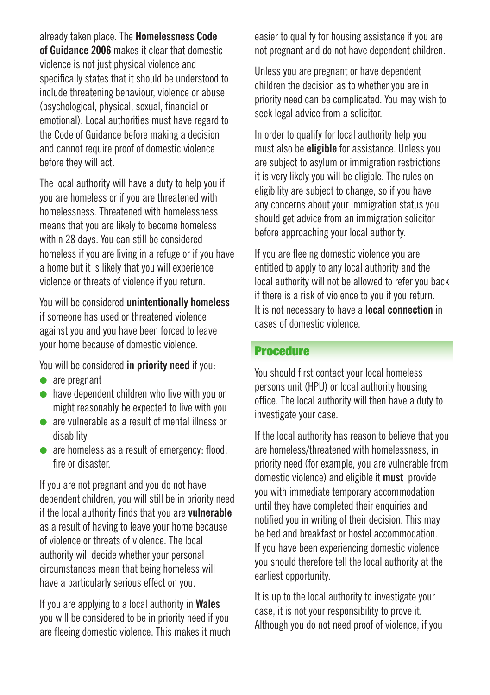already taken place. The **Homelessness Code of Guidance 2006** makes it clear that domestic violence is not just physical violence and specifically states that it should be understood to include threatening behaviour, violence or abuse (psychological, physical, sexual, financial or emotional). Local authorities must have regard to the Code of Guidance before making a decision and cannot require proof of domestic violence before they will act.

The local authority will have a duty to help you if you are homeless or if you are threatened with homelessness. Threatened with homelessness means that you are likely to become homeless within 28 days. You can still be considered homeless if you are living in a refuge or if you have a home but it is likely that you will experience violence or threats of violence if you return.

You will be considered **unintentionally homeless** if someone has used or threatened violence against you and you have been forced to leave your home because of domestic violence.

You will be considered **in priority need** if you:

- $\bullet$  are pregnant
- $\bullet$  have dependent children who live with you or might reasonably be expected to live with you
- l are vulnerable as a result of mental illness or disability
- $\bullet$  are homeless as a result of emergency: flood, fire or disaster

If you are not pregnant and you do not have dependent children, you will still be in priority need if the local authority finds that you are **vulnerable** as a result of having to leave your home because of violence or threats of violence. The local authority will decide whether your personal circumstances mean that being homeless will have a particularly serious effect on you.

If you are applying to a local authority in **Wales** you will be considered to be in priority need if you are fleeing domestic violence. This makes it much easier to qualify for housing assistance if you are not pregnant and do not have dependent children.

Unless you are pregnant or have dependent children the decision as to whether you are in priority need can be complicated. You may wish to seek legal advice from a solicitor.

In order to qualify for local authority help you must also be **eligible** for assistance. Unless you are subject to asylum or immigration restrictions it is very likely you will be eligible. The rules on eligibility are subject to change, so if you have any concerns about your immigration status you should get advice from an immigration solicitor before approaching your local authority.

If you are fleeing domestic violence you are entitled to apply to any local authority and the local authority will not be allowed to refer you back if there is a risk of violence to you if you return. It is not necessary to have a **local connection** in cases of domestic violence.

## Procedure

You should first contact your local homeless persons unit (HPU) or local authority housing office. The local authority will then have a duty to investigate your case.

If the local authority has reason to believe that you are homeless/threatened with homelessness, in priority need (for example, you are vulnerable from domestic violence) and eligible it **must** provide you with immediate temporary accommodation until they have completed their enquiries and notified you in writing of their decision. This may be bed and breakfast or hostel accommodation. If you have been experiencing domestic violence you should therefore tell the local authority at the earliest opportunity.

It is up to the local authority to investigate your case, it is not your responsibility to prove it. Although you do not need proof of violence, if you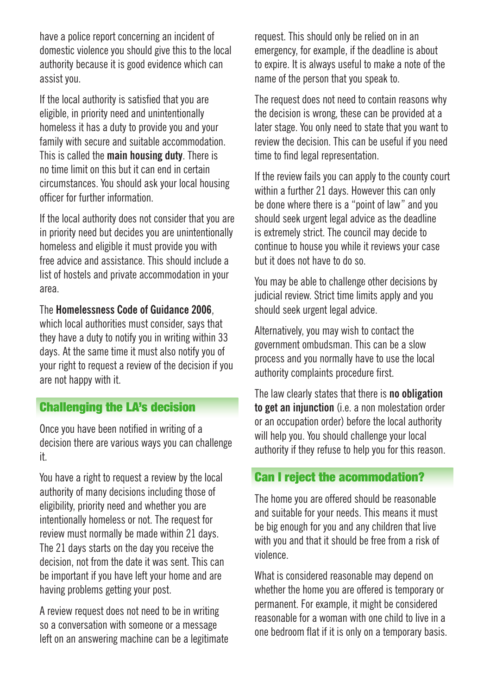have a police report concerning an incident of domestic violence you should give this to the local authority because it is good evidence which can assist you.

If the local authority is satisfied that you are eligible, in priority need and unintentionally homeless it has a duty to provide you and your family with secure and suitable accommodation. This is called the **main housing duty**. There is no time limit on this but it can end in certain circumstances. You should ask your local housing officer for further information.

If the local authority does not consider that you are in priority need but decides you are unintentionally homeless and eligible it must provide you with free advice and assistance. This should include a list of hostels and private accommodation in your area.

The **Homelessness Code of Guidance 2006**,

which local authorities must consider, says that they have a duty to notify you in writing within 33 days. At the same time it must also notify you of your right to request a review of the decision if you are not happy with it.

# Challenging the LA's decision

Once you have been notified in writing of a decision there are various ways you can challenge it.

You have a right to request a review by the local authority of many decisions including those of eligibility, priority need and whether you are intentionally homeless or not. The request for review must normally be made within 21 days. The 21 days starts on the day you receive the decision, not from the date it was sent. This can be important if you have left your home and are having problems getting your post.

A review request does not need to be in writing so a conversation with someone or a message left on an answering machine can be a legitimate request. This should only be relied on in an emergency, for example, if the deadline is about to expire. It is always useful to make a note of the name of the person that you speak to.

The request does not need to contain reasons why the decision is wrong, these can be provided at a later stage. You only need to state that you want to review the decision. This can be useful if you need time to find legal representation.

If the review fails you can apply to the county court within a further 21 days. However this can only be done where there is a "point of law" and you should seek urgent legal advice as the deadline is extremely strict. The council may decide to continue to house you while it reviews your case but it does not have to do so.

You may be able to challenge other decisions by judicial review. Strict time limits apply and you should seek urgent legal advice.

Alternatively, you may wish to contact the government ombudsman. This can be a slow process and you normally have to use the local authority complaints procedure first.

The law clearly states that there is **no obligation to get an injunction** (i.e. a non molestation order or an occupation order) before the local authority will help you. You should challenge your local authority if they refuse to help you for this reason.

# Can I reject the acommodation?

The home you are offered should be reasonable and suitable for your needs. This means it must be big enough for you and any children that live with you and that it should be free from a risk of violence.

What is considered reasonable may depend on whether the home you are offered is temporary or permanent. For example, it might be considered reasonable for a woman with one child to live in a one bedroom flat if it is only on a temporary basis.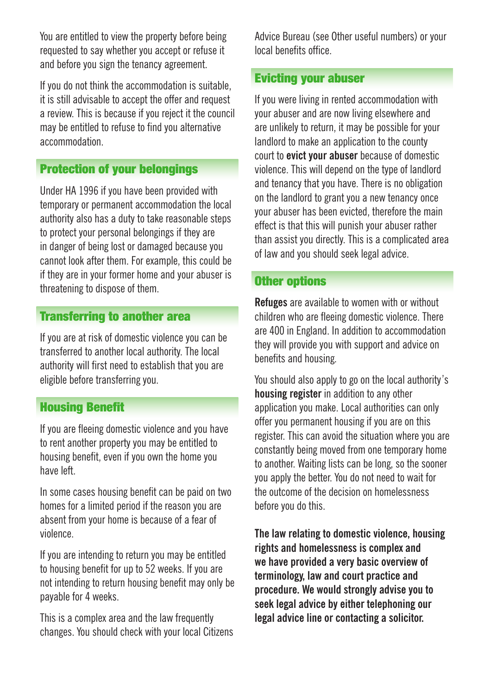You are entitled to view the property before being requested to say whether you accept or refuse it and before you sign the tenancy agreement.

If you do not think the accommodation is suitable, it is still advisable to accept the offer and request a review. This is because if you reject it the council may be entitled to refuse to find you alternative accommodation.

# Protection of your belongings

Under HA 1996 if you have been provided with temporary or permanent accommodation the local authority also has a duty to take reasonable steps to protect your personal belongings if they are in danger of being lost or damaged because you cannot look after them. For example, this could be if they are in your former home and your abuser is threatening to dispose of them.

# Transferring to another area

If you are at risk of domestic violence you can be transferred to another local authority. The local authority will first need to establish that you are eligible before transferring you.

## Housing Benefit

If you are fleeing domestic violence and you have to rent another property you may be entitled to housing benefit, even if you own the home you have left.

In some cases housing benefit can be paid on two homes for a limited period if the reason you are absent from your home is because of a fear of violence.

If you are intending to return you may be entitled to housing benefit for up to 52 weeks. If you are not intending to return housing benefit may only be payable for 4 weeks.

This is a complex area and the law frequently changes. You should check with your local Citizens Advice Bureau (see Other useful numbers) or your local benefits office.

# Evicting your abuser

If you were living in rented accommodation with your abuser and are now living elsewhere and are unlikely to return, it may be possible for your landlord to make an application to the county court to **evict your abuser** because of domestic violence. This will depend on the type of landlord and tenancy that you have. There is no obligation on the landlord to grant you a new tenancy once your abuser has been evicted, therefore the main effect is that this will punish your abuser rather than assist you directly. This is a complicated area of law and you should seek legal advice.

#### **Other options**

**Refuges** are available to women with or without children who are fleeing domestic violence. There are 400 in England. In addition to accommodation they will provide you with support and advice on benefits and housing.

You should also apply to go on the local authority's **housing register** in addition to any other application you make. Local authorities can only offer you permanent housing if you are on this register. This can avoid the situation where you are constantly being moved from one temporary home to another. Waiting lists can be long, so the sooner you apply the better. You do not need to wait for the outcome of the decision on homelessness before you do this.

**The law relating to domestic violence, housing rights and homelessness is complex and we have provided a very basic overview of terminology, law and court practice and procedure. We would strongly advise you to seek legal advice by either telephoning our legal advice line or contacting a solicitor.**